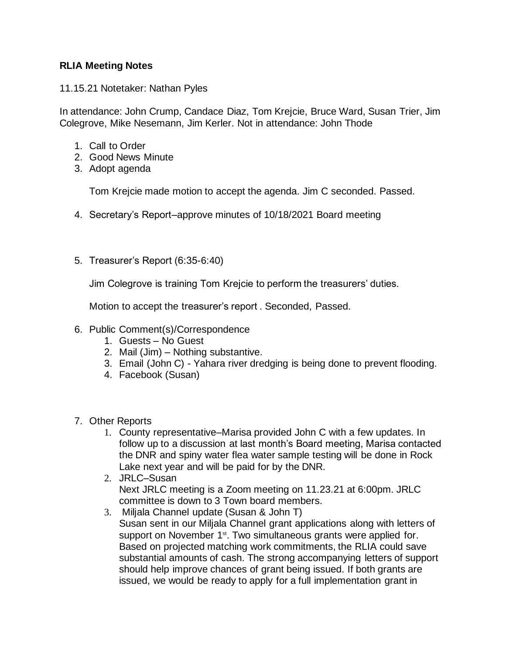## **RLIA Meeting Notes**

11.15.21 Notetaker: Nathan Pyles

In attendance: John Crump, Candace Diaz, Tom Krejcie, Bruce Ward, Susan Trier, Jim Colegrove, Mike Nesemann, Jim Kerler. Not in attendance: John Thode

- 1. Call to Order
- 2. Good News Minute
- 3. Adopt agenda

Tom Krejcie made motion to accept the agenda. Jim C seconded. Passed.

- 4. Secretary's Report–approve minutes of 10/18/2021 Board meeting
- 5. Treasurer's Report (6:35-6:40)

Jim Colegrove is training Tom Krejcie to perform the treasurers' duties.

Motion to accept the treasurer's report . Seconded, Passed.

- 6. Public Comment(s)/Correspondence
	- 1. Guests No Guest
	- 2. Mail (Jim) Nothing substantive.
	- 3. Email (John C) Yahara river dredging is being done to prevent flooding.
	- 4. Facebook (Susan)
- 7. Other Reports
	- 1. County representative–Marisa provided John C with a few updates. In follow up to a discussion at last month's Board meeting, Marisa contacted the DNR and spiny water flea water sample testing will be done in Rock Lake next year and will be paid for by the DNR.
	- 2. JRLC–Susan Next JRLC meeting is a Zoom meeting on 11.23.21 at 6:00pm. JRLC committee is down to 3 Town board members.
	- 3. Miljala Channel update (Susan & John T) Susan sent in our Miljala Channel grant applications along with letters of support on November 1<sup>st</sup>. Two simultaneous grants were applied for. Based on projected matching work commitments, the RLIA could save substantial amounts of cash. The strong accompanying letters of support should help improve chances of grant being issued. If both grants are issued, we would be ready to apply for a full implementation grant in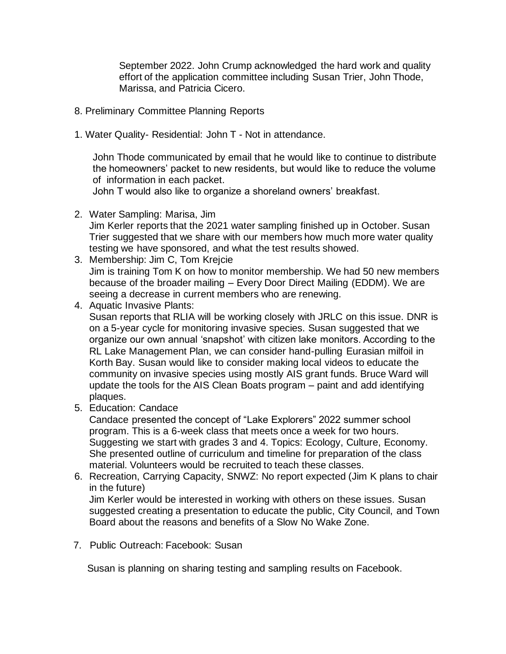September 2022. John Crump acknowledged the hard work and quality effort of the application committee including Susan Trier, John Thode, Marissa, and Patricia Cicero.

- 8. Preliminary Committee Planning Reports
- 1. Water Quality- Residential: John T Not in attendance.

 John Thode communicated by email that he would like to continue to distribute the homeowners' packet to new residents, but would like to reduce the volume of information in each packet.

John T would also like to organize a shoreland owners' breakfast.

2. Water Sampling: Marisa, Jim

Jim Kerler reports that the 2021 water sampling finished up in October. Susan Trier suggested that we share with our members how much more water quality testing we have sponsored, and what the test results showed.

- 3. Membership: Jim C, Tom Krejcie Jim is training Tom K on how to monitor membership. We had 50 new members because of the broader mailing – Every Door Direct Mailing (EDDM). We are seeing a decrease in current members who are renewing.
- 4. Aquatic Invasive Plants:
	- Susan reports that RLIA will be working closely with JRLC on this issue. DNR is on a 5-year cycle for monitoring invasive species. Susan suggested that we organize our own annual 'snapshot' with citizen lake monitors. According to the RL Lake Management Plan, we can consider hand-pulling Eurasian milfoil in Korth Bay. Susan would like to consider making local videos to educate the community on invasive species using mostly AIS grant funds. Bruce Ward will update the tools for the AIS Clean Boats program – paint and add identifying plaques.
- 5. Education: Candace

Candace presented the concept of "Lake Explorers" 2022 summer school program. This is a 6-week class that meets once a week for two hours. Suggesting we start with grades 3 and 4. Topics: Ecology, Culture, Economy. She presented outline of curriculum and timeline for preparation of the class material. Volunteers would be recruited to teach these classes.

6. Recreation, Carrying Capacity, SNWZ: No report expected (Jim K plans to chair in the future)

Jim Kerler would be interested in working with others on these issues. Susan suggested creating a presentation to educate the public, City Council, and Town Board about the reasons and benefits of a Slow No Wake Zone.

7. Public Outreach: Facebook: Susan

Susan is planning on sharing testing and sampling results on Facebook.